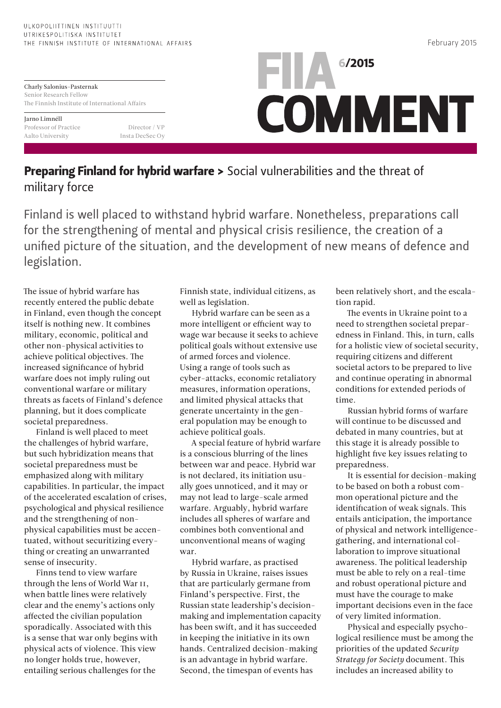## ULKOPOLIITTINEN INSTITUUTTI UTRIKESPOLITISKA INSTITUTET THE FINNISH INSTITUTE OF INTERNATIONAL AFFAIRS

Charly Salonius-Pasternak Senior Research Fellow The Finnish Institute of International Affairs

Jarno Limnéll

Professor of Practice Director / VP Aalto University Insta DecSec Oy



## Preparing Finland for hybrid warfare > Social vulnerabilities and the threat of military force

Finland is well placed to withstand hybrid warfare. Nonetheless, preparations call for the strengthening of mental and physical crisis resilience, the creation of a unified picture of the situation, and the development of new means of defence and legislation.

The issue of hybrid warfare has recently entered the public debate in Finland, even though the concept itself is nothing new. It combines military, economic, political and other non-physical activities to achieve political objectives. The increased significance of hybrid warfare does not imply ruling out conventional warfare or military threats as facets of Finland's defence planning, but it does complicate societal preparedness.

Finland is well placed to meet the challenges of hybrid warfare, but such hybridization means that societal preparedness must be emphasized along with military capabilities. In particular, the impact of the accelerated escalation of crises, psychological and physical resilience and the strengthening of nonphysical capabilities must be accentuated, without securitizing everything or creating an unwarranted sense of insecurity.

Finns tend to view warfare through the lens of World War II, when battle lines were relatively clear and the enemy's actions only affected the civilian population sporadically. Associated with this is a sense that war only begins with physical acts of violence. This view no longer holds true, however, entailing serious challenges for the

Finnish state, individual citizens, as well as legislation.

Hybrid warfare can be seen as a more intelligent or efficient way to wage war because it seeks to achieve political goals without extensive use of armed forces and violence. Using a range of tools such as cyber-attacks, economic retaliatory measures, information operations, and limited physical attacks that generate uncertainty in the general population may be enough to achieve political goals.

A special feature of hybrid warfare is a conscious blurring of the lines between war and peace. Hybrid war is not declared, its initiation usually goes unnoticed, and it may or may not lead to large-scale armed warfare. Arguably, hybrid warfare includes all spheres of warfare and combines both conventional and unconventional means of waging war.

Hybrid warfare, as practised by Russia in Ukraine, raises issues that are particularly germane from Finland's perspective. First, the Russian state leadership's decisionmaking and implementation capacity has been swift, and it has succeeded in keeping the initiative in its own hands. Centralized decision-making is an advantage in hybrid warfare. Second, the timespan of events has

been relatively short, and the escalation rapid.

The events in Ukraine point to a need to strengthen societal preparedness in Finland. This, in turn, calls for a holistic view of societal security, requiring citizens and different societal actors to be prepared to live and continue operating in abnormal conditions for extended periods of time.

Russian hybrid forms of warfare will continue to be discussed and debated in many countries, but at this stage it is already possible to highlight five key issues relating to preparedness.

It is essential for decision-making to be based on both a robust common operational picture and the identification of weak signals. This entails anticipation, the importance of physical and network intelligencegathering, and international collaboration to improve situational awareness. The political leadership must be able to rely on a real-time and robust operational picture and must have the courage to make important decisions even in the face of very limited information.

Physical and especially psychological resilience must be among the priorities of the updated *Security Strategy for Society* document. This includes an increased ability to